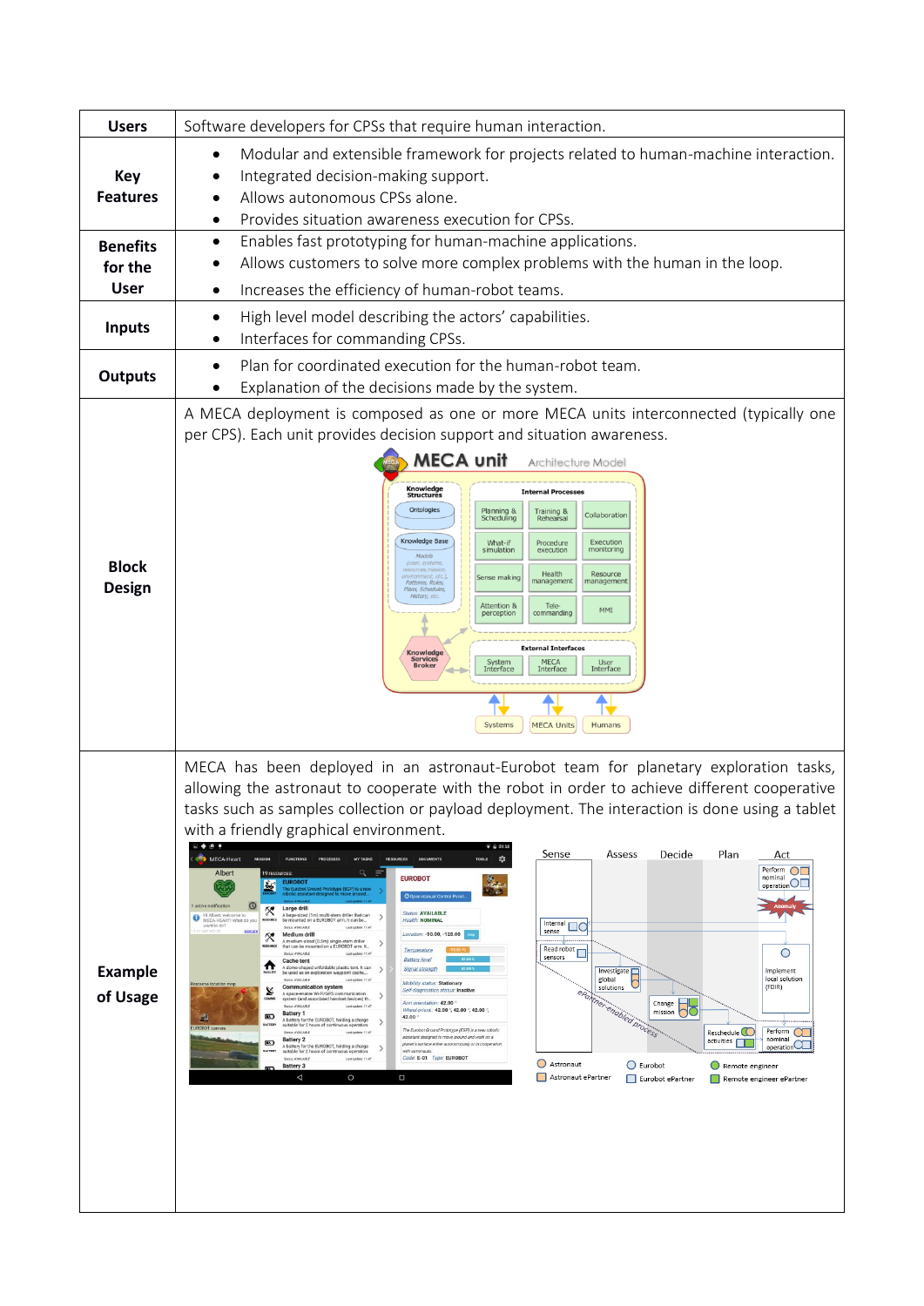